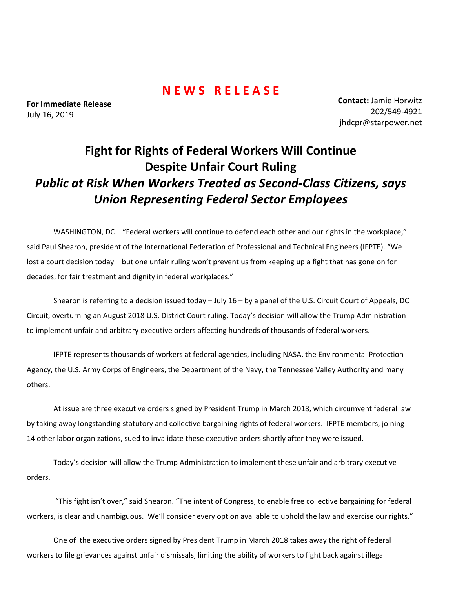## **N E W S R E L E A S E**

**For Immediate Release**  July 16, 2019

**Contact:** Jamie Horwitz 202/549-4921 jhdcpr@starpower.net

## **Fight for Rights of Federal Workers Will Continue Despite Unfair Court Ruling** *Public at Risk When Workers Treated as Second-Class Citizens, says Union Representing Federal Sector Employees*

WASHINGTON, DC – "Federal workers will continue to defend each other and our rights in the workplace," said Paul Shearon, president of the International Federation of Professional and Technical Engineers (IFPTE). "We lost a court decision today – but one unfair ruling won't prevent us from keeping up a fight that has gone on for decades, for fair treatment and dignity in federal workplaces."

Shearon is referring to a decision issued today – July 16 – by a panel of the U.S. Circuit Court of Appeals, DC Circuit, overturning an August 2018 U.S. District Court ruling. Today's decision will allow the Trump Administration to implement unfair and arbitrary executive orders affecting hundreds of thousands of federal workers.

IFPTE represents thousands of workers at federal agencies, including NASA, the Environmental Protection Agency, the U.S. Army Corps of Engineers, the Department of the Navy, the Tennessee Valley Authority and many others.

At issue are three executive orders signed by President Trump in March 2018, which circumvent federal law by taking away longstanding statutory and collective bargaining rights of federal workers. IFPTE members, joining 14 other labor organizations, sued to invalidate these executive orders shortly after they were issued.

Today's decision will allow the Trump Administration to implement these unfair and arbitrary executive orders.

"This fight isn't over," said Shearon. "The intent of Congress, to enable free collective bargaining for federal workers, is clear and unambiguous. We'll consider every option available to uphold the law and exercise our rights."

One of the executive orders signed by President Trump in March 2018 takes away the right of federal workers to file grievances against unfair dismissals, limiting the ability of workers to fight back against illegal